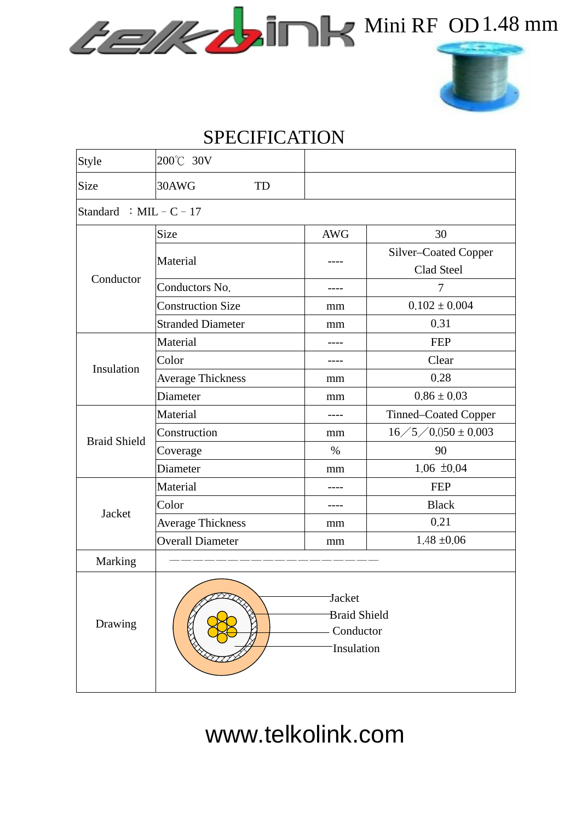## GEVENIDE Mini RF OD1.48 mm



## SPECIFICATION

| Style                     | 200°C 30V                                                       |            |                        |  |  |  |  |  |  |
|---------------------------|-----------------------------------------------------------------|------------|------------------------|--|--|--|--|--|--|
| Size                      | 30AWG<br>TD                                                     |            |                        |  |  |  |  |  |  |
| Standard : MIL - $C - 17$ |                                                                 |            |                        |  |  |  |  |  |  |
| Conductor                 | Size                                                            | <b>AWG</b> | 30                     |  |  |  |  |  |  |
|                           | Material                                                        |            | Silver-Coated Copper   |  |  |  |  |  |  |
|                           |                                                                 |            | Clad Steel             |  |  |  |  |  |  |
|                           | Conductors No.                                                  | ----       | 7                      |  |  |  |  |  |  |
|                           | <b>Construction Size</b>                                        | mm         | $0.102 \pm 0.004$      |  |  |  |  |  |  |
|                           | <b>Stranded Diameter</b>                                        | mm         | 0.31                   |  |  |  |  |  |  |
| Insulation                | Material                                                        |            | <b>FEP</b>             |  |  |  |  |  |  |
|                           | Color                                                           |            | Clear                  |  |  |  |  |  |  |
|                           | <b>Average Thickness</b>                                        | mm         | 0.28                   |  |  |  |  |  |  |
|                           | Diameter                                                        | mm         | $0.86 \pm 0.03$        |  |  |  |  |  |  |
| <b>Braid Shield</b>       | Material                                                        | ----       | Tinned–Coated Copper   |  |  |  |  |  |  |
|                           | Construction                                                    | mm         | $16/5/0.050 \pm 0.003$ |  |  |  |  |  |  |
|                           | Coverage                                                        | $\%$       | 90                     |  |  |  |  |  |  |
|                           | Diameter                                                        | mm         | $1.06 \pm 0.04$        |  |  |  |  |  |  |
| Jacket                    | Material                                                        |            | <b>FEP</b>             |  |  |  |  |  |  |
|                           | Color                                                           |            | <b>Black</b>           |  |  |  |  |  |  |
|                           | <b>Average Thickness</b>                                        | mm         | 0.21                   |  |  |  |  |  |  |
|                           | <b>Overall Diameter</b>                                         | mm         | $1.48 \pm 0.06$        |  |  |  |  |  |  |
| Marking                   |                                                                 |            |                        |  |  |  |  |  |  |
| Drawing                   | <b>Jacket</b><br><b>Braid Shield</b><br>Conductor<br>Insulation |            |                        |  |  |  |  |  |  |

www.telkolink.com